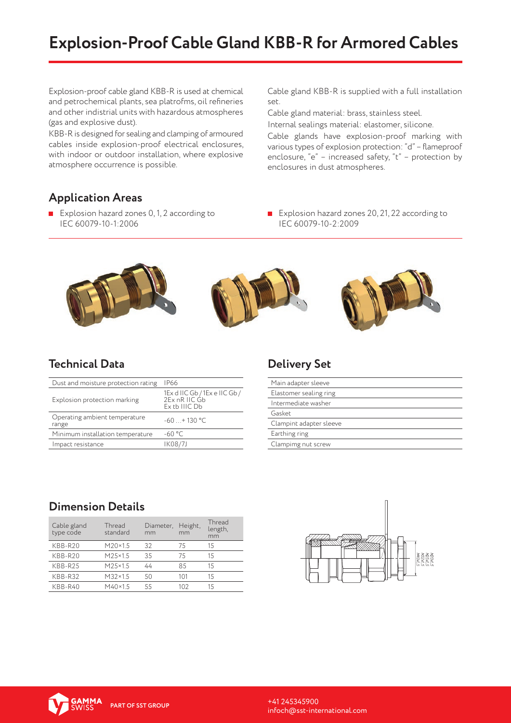# **Explosion-Proof Cable Gland KBB-R for Armored Cables**

Explosion-proof cable gland KBB-R is used at chemical and petrochemical plants, sea platrofms, oil refineries and other indistrial units with hazardous atmospheres (gas and explosive dust).

KBB-R is designed for sealing and clamping of armoured cables inside explosion-proof electrical enclosures, with indoor or outdoor installation, where explosive atmosphere occurrence is possible.

## **Application Areas**

■ Explosion hazard zones 0, 1, 2 according to IEC 60079-10-1:2006

Cable gland KBB-R is supplied with a full installation set.

Cable gland material: brass, stainless steel.

Internal sealings material: elastomer, silicone. Cable glands have explosion-proof marking with

various types of explosion protection: "d" - flameproof enclosure, "e" – increased safety, "t" – protection by enclosures in dust atmospheres.

Explosion hazard zones 20, 21, 22 according to IEC 60079-10-2:2009



#### **Technical Data Delivery Set**

| Dust and moisture protection rating    | <b>IP66</b>                                                     |
|----------------------------------------|-----------------------------------------------------------------|
| Explosion protection marking           | 1Ex d IIC Gb / 1Ex e IIC Gb /<br>2Ex nR IIC Gb<br>Ex tb IIIC Db |
| Operating ambient temperature<br>range | $-60 + 130 °C$                                                  |
| Minimum installation temperature       | $-60 °C$                                                        |
| Impact resistance                      | IK08/7J                                                         |

| Main adapter sleeve     |
|-------------------------|
| Elastomer sealing ring  |
| Intermediate washer     |
| Gasket                  |
| Clampint adapter sleeve |
| Earthing ring           |
| Clampimg nut screw      |

### **Dimension Details**

| Cable gland<br>type code | Thread<br>standard | Diameter,<br>mm | Height,<br>mm | Thread<br>length,<br>mm |
|--------------------------|--------------------|-----------------|---------------|-------------------------|
| $KBB-R20$                | $M20\times1.5$     | 32              | 75            | 15                      |
| $KBB-R20$                | $M25\times1.5$     | 35              | 75            | 15                      |
| KBB-R25                  | M25×15             | 44              | 85            | 15                      |
| $KBB-R32$                | $M32\times15$      | 50              | 101           | 15                      |
| $KBB-R40$                | $M40\times1.5$     | 55              | 102           | 15                      |